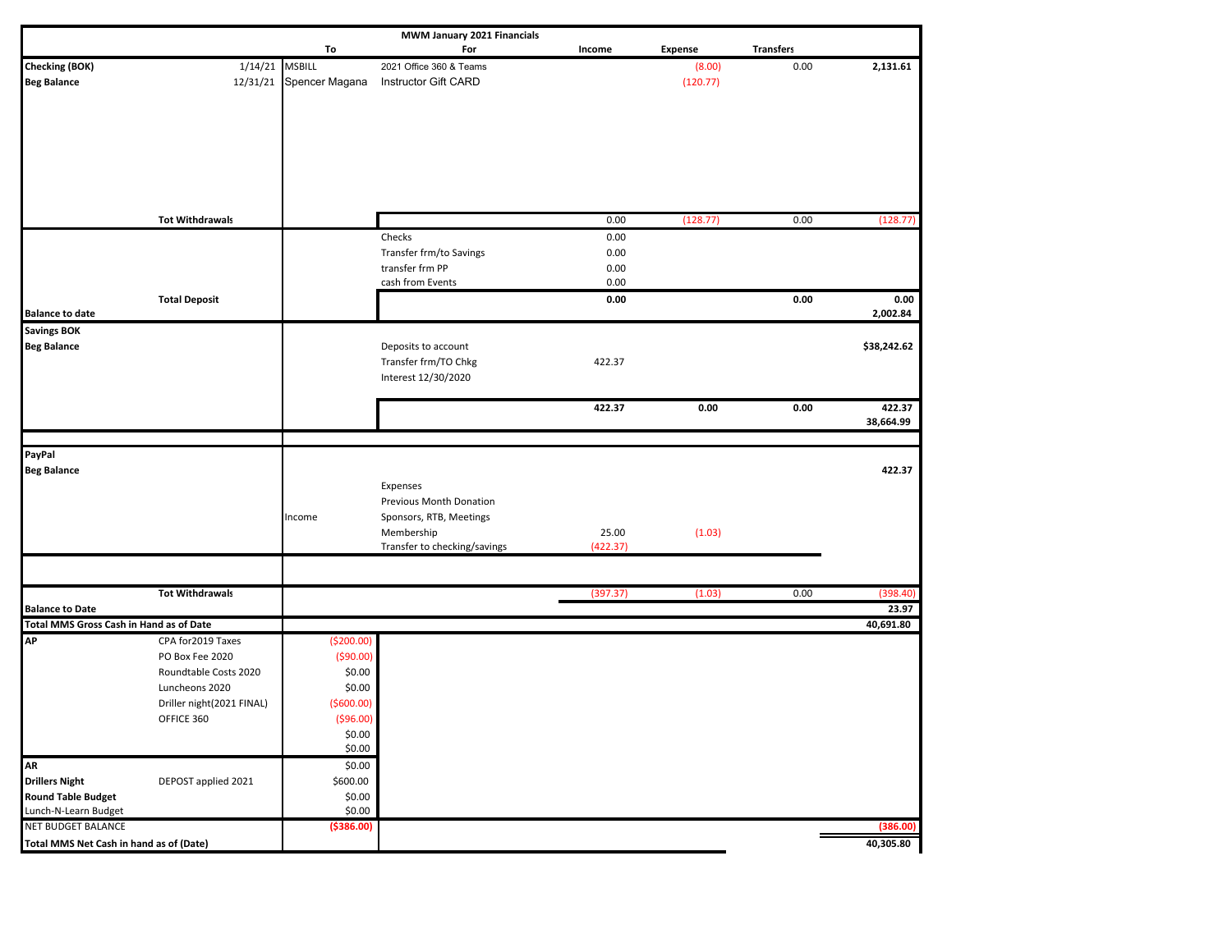| MWM January 2021 Financials             |                           |                |                                     |          |                |                  |             |  |  |  |
|-----------------------------------------|---------------------------|----------------|-------------------------------------|----------|----------------|------------------|-------------|--|--|--|
|                                         |                           | To             | For                                 | Income   | <b>Expense</b> | <b>Transfers</b> |             |  |  |  |
| <b>Checking (BOK)</b>                   | 1/14/21                   | <b>MSBILL</b>  | 2021 Office 360 & Teams             |          | (8.00)         | 0.00             | 2,131.61    |  |  |  |
| <b>Beg Balance</b>                      | 12/31/21                  | Spencer Magana | Instructor Gift CARD                |          | (120.77)       |                  |             |  |  |  |
|                                         |                           |                |                                     |          |                |                  |             |  |  |  |
|                                         |                           |                |                                     |          |                |                  |             |  |  |  |
|                                         |                           |                |                                     |          |                |                  |             |  |  |  |
|                                         |                           |                |                                     |          |                |                  |             |  |  |  |
|                                         |                           |                |                                     |          |                |                  |             |  |  |  |
|                                         |                           |                |                                     |          |                |                  |             |  |  |  |
|                                         |                           |                |                                     |          |                |                  |             |  |  |  |
|                                         | <b>Tot Withdrawals</b>    |                |                                     | 0.00     | (128.77)       | 0.00             | (128.77)    |  |  |  |
|                                         |                           |                | Checks                              | 0.00     |                |                  |             |  |  |  |
|                                         |                           |                | Transfer frm/to Savings             | 0.00     |                |                  |             |  |  |  |
|                                         |                           |                | transfer frm PP                     | 0.00     |                |                  |             |  |  |  |
|                                         |                           |                | cash from Events                    | 0.00     |                |                  |             |  |  |  |
|                                         | <b>Total Deposit</b>      |                |                                     | 0.00     |                | 0.00             | 0.00        |  |  |  |
| <b>Balance to date</b>                  |                           |                |                                     |          |                |                  | 2,002.84    |  |  |  |
| <b>Savings BOK</b>                      |                           |                |                                     |          |                |                  |             |  |  |  |
| <b>Beg Balance</b>                      |                           |                | Deposits to account                 |          |                |                  | \$38,242.62 |  |  |  |
|                                         |                           |                | Transfer frm/TO Chkg                | 422.37   |                |                  |             |  |  |  |
|                                         |                           |                | Interest 12/30/2020                 |          |                |                  |             |  |  |  |
|                                         |                           |                |                                     |          |                |                  |             |  |  |  |
|                                         |                           |                |                                     | 422.37   | 0.00           | 0.00             | 422.37      |  |  |  |
|                                         |                           |                |                                     |          |                |                  | 38,664.99   |  |  |  |
|                                         |                           |                |                                     |          |                |                  |             |  |  |  |
| PayPal                                  |                           |                |                                     |          |                |                  | 422.37      |  |  |  |
| <b>Beg Balance</b>                      |                           |                |                                     |          |                |                  |             |  |  |  |
|                                         |                           |                | Expenses<br>Previous Month Donation |          |                |                  |             |  |  |  |
|                                         |                           | Income         | Sponsors, RTB, Meetings             |          |                |                  |             |  |  |  |
|                                         |                           |                | Membership                          | 25.00    | (1.03)         |                  |             |  |  |  |
|                                         |                           |                | Transfer to checking/savings        | (422.37) |                |                  |             |  |  |  |
|                                         |                           |                |                                     |          |                |                  |             |  |  |  |
|                                         |                           |                |                                     |          |                |                  |             |  |  |  |
|                                         | <b>Tot Withdrawals</b>    |                |                                     | (397.37) | (1.03)         | 0.00             | (398.40)    |  |  |  |
| <b>Balance to Date</b>                  |                           |                |                                     |          |                |                  | 23.97       |  |  |  |
| Total MMS Gross Cash in Hand as of Date |                           |                |                                     |          |                |                  | 40,691.80   |  |  |  |
| <b>AP</b>                               | CPA for 2019 Taxes        | ( \$200.00)    |                                     |          |                |                  |             |  |  |  |
|                                         | PO Box Fee 2020           | ( \$90.00)     |                                     |          |                |                  |             |  |  |  |
|                                         | Roundtable Costs 2020     | \$0.00         |                                     |          |                |                  |             |  |  |  |
|                                         | Luncheons 2020            | \$0.00         |                                     |          |                |                  |             |  |  |  |
|                                         | Driller night(2021 FINAL) | ( \$600.00)    |                                     |          |                |                  |             |  |  |  |
|                                         | OFFICE 360                | ( \$96.00)     |                                     |          |                |                  |             |  |  |  |
|                                         |                           | \$0.00         |                                     |          |                |                  |             |  |  |  |
|                                         |                           | \$0.00         |                                     |          |                |                  |             |  |  |  |
| <b>AR</b>                               |                           | \$0.00         |                                     |          |                |                  |             |  |  |  |
| <b>Drillers Night</b>                   | DEPOST applied 2021       | \$600.00       |                                     |          |                |                  |             |  |  |  |
| <b>Round Table Budget</b>               |                           | \$0.00         |                                     |          |                |                  |             |  |  |  |
| Lunch-N-Learn Budget                    |                           | \$0.00         |                                     |          |                |                  |             |  |  |  |
| NET BUDGET BALANCE                      |                           | ( \$386.00)    |                                     |          |                |                  | (386.00)    |  |  |  |
| Total MMS Net Cash in hand as of (Date) |                           |                |                                     |          |                |                  | 40,305.80   |  |  |  |